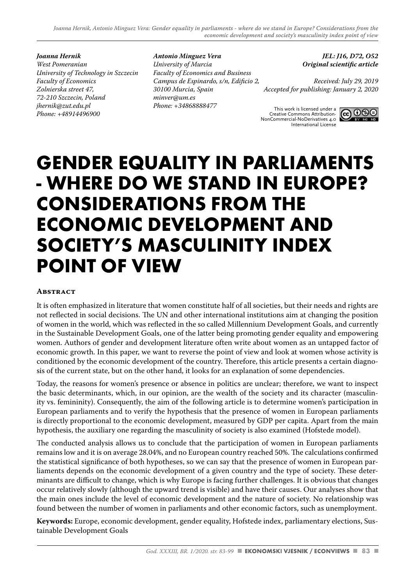*Joanna Hernik West Pomeranian University of Technology in Szczecin Faculty of Economics Zolnierska street 47, 72-210 Szczecin, Poland jhernik@zut.edu.pl Phone: +48914496900*

*Antonio Minguez Vera University of Murcia Faculty of Economics and Business Campus de Espinardo, s/n, Edificio 2, 30100 Murcia, Spain minver@um.es Phone: +34868888477*

*JEL: J16, D72, O52 Original scientific article* 10, D/2, US2 $^{\text{outif}}$ e nationala na bazi Vašeg pod istori

*Received: July 29, 2019 Accepted for publishing: January 2, 2020* 

This work is licensed under a Creative Commons Attribution-NonCommercial-NoDerivatives 4.0 International License



# **GENDER EQUALITY IN PARLIAMENTS - WHERE DO WE STAND IN EUROPE? CONSIDERATIONS FROM THE ECONOMIC DEVELOPMENT AND SOCIETY'S MASCULINITY INDEX POINT OF VIEW** Ovo je najrestriktivnija od naših šest osnovnih licenci – dopušta drugima da

#### **Abstract**

It is often emphasized in literature that women constitute half of all societies, but their needs and rights are not reflected in social decisions. The UN and other international institutions aim at changing the position of women in the world, which was reflected in the so called Millennium Development Goals, and currently in the Sustainable Development Goals, one of the latter being promoting gender equality and empowering women. Authors of gender and development literature often write about women as an untapped factor of economic growth. In this paper, we want to reverse the point of view and look at women whose activity is conditioned by the economic development of the country. Therefore, this article presents a certain diagnosis of the current state, but on the other hand, it looks for an explanation of some dependencies.

Today, the reasons for women's presence or absence in politics are unclear; therefore, we want to inspect the basic determinants, which, in our opinion, are the wealth of the society and its character (masculinity vs. femininity). Consequently, the aim of the following article is to determine women's participation in European parliaments and to verify the hypothesis that the presence of women in European parliaments is directly proportional to the economic development, measured by GDP per capita. Apart from the main hypothesis, the auxiliary one regarding the masculinity of society is also examined (Hofstede model).

The conducted analysis allows us to conclude that the participation of women in European parliaments remains low and it is on average 28.04%, and no European country reached 50%. The calculations confirmed the statistical significance of both hypotheses, so we can say that the presence of women in European parliaments depends on the economic development of a given country and the type of society. These determinants are difficult to change, which is why Europe is facing further challenges. It is obvious that changes occur relatively slowly (although the upward trend is visible) and have their causes. Our analyses show that the main ones include the level of economic development and the nature of society. No relationship was found between the number of women in parliaments and other economic factors, such as unemployment.

**Keywords:** Europe, economic development, gender equality, Hofstede index, parliamentary elections, Sustainable Development Goals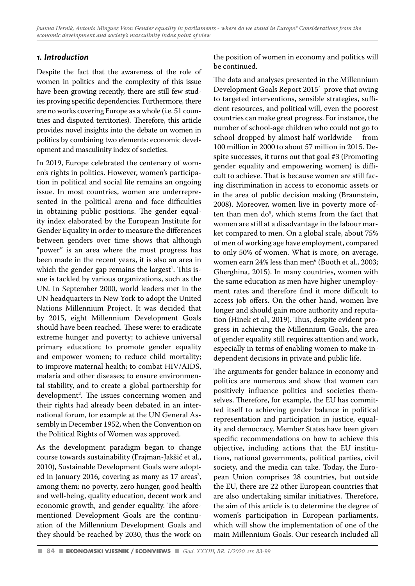# *1. Introduction*

Despite the fact that the awareness of the role of women in politics and the complexity of this issue have been growing recently, there are still few studies proving specific dependencies. Furthermore, there are no works covering Europe as a whole (i.e. 51 countries and disputed territories). Therefore, this article provides novel insights into the debate on women in politics by combining two elements: economic development and masculinity index of societies.

In 2019, Europe celebrated the centenary of women's rights in politics. However, women's participation in political and social life remains an ongoing issue. In most countries, women are underrepresented in the political arena and face difficulties in obtaining public positions. The gender equality index elaborated by the European Institute for Gender Equality in order to measure the differences between genders over time shows that although "power" is an area where the most progress has been made in the recent years, it is also an area in which the gender gap remains the largest $^{\text{1}}$ . This issue is tackled by various organizations, such as the UN. In September 2000, world leaders met in the UN headquarters in New York to adopt the United Nations Millennium Project. It was decided that by 2015, eight Millennium Development Goals should have been reached. These were: to eradicate extreme hunger and poverty; to achieve universal primary education; to promote gender equality and empower women; to reduce child mortality; to improve maternal health; to combat HIV/AIDS, malaria and other diseases; to ensure environmental stability, and to create a global partnership for development<sup>2</sup>. The issues concerning women and their rights had already been debated in an international forum, for example at the UN General Assembly in December 1952, when the Convention on the Political Rights of Women was approved.

As the development paradigm began to change course towards sustainability (Frajman-Jakšić et al., 2010), Sustainable Development Goals were adopted in January 2016, covering as many as 17 areas<sup>3</sup>, among them: no poverty, zero hunger, good health and well-being, quality education, decent work and economic growth, and gender equality. The aforementioned Development Goals are the continuation of the Millennium Development Goals and they should be reached by 2030, thus the work on

the position of women in economy and politics will be continued.

The data and analyses presented in the Millennium Development Goals Report 20154 prove that owing to targeted interventions, sensible strategies, sufficient resources, and political will, even the poorest countries can make great progress. For instance, the number of school-age children who could not go to school dropped by almost half worldwide – from 100 million in 2000 to about 57 million in 2015. Despite successes, it turns out that goal #3 (Promoting gender equality and empowering women) is difficult to achieve. That is because women are still facing discrimination in access to economic assets or in the area of public decision making (Braunstein, 2008). Moreover, women live in poverty more often than men do<sup>5</sup>, which stems from the fact that women are still at a disadvantage in the labour market compared to men. On a global scale, about 75% of men of working age have employment, compared to only 50% of women. What is more, on average, women earn 24% less than men<sup>6</sup> (Booth et al., 2003; Gherghina, 2015). In many countries, women with the same education as men have higher unemployment rates and therefore find it more difficult to access job offers. On the other hand, women live longer and should gain more authority and reputation (Hinek et al., 2019). Thus, despite evident progress in achieving the Millennium Goals, the area of gender equality still requires attention and work, especially in terms of enabling women to make independent decisions in private and public life.

The arguments for gender balance in economy and politics are numerous and show that women can positively influence politics and societies themselves. Therefore, for example, the EU has committed itself to achieving gender balance in political representation and participation in justice, equality and democracy. Member States have been given specific recommendations on how to achieve this objective, including actions that the EU institutions, national governments, political parties, civil society, and the media can take. Today, the European Union comprises 28 countries, but outside the EU, there are 22 other European countries that are also undertaking similar initiatives. Therefore, the aim of this article is to determine the degree of women's participation in European parliaments, which will show the implementation of one of the main Millennium Goals. Our research included all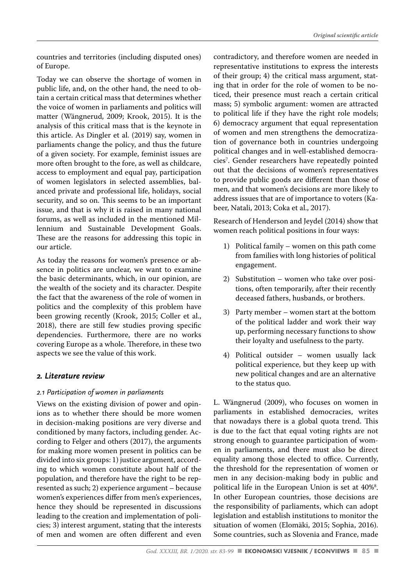countries and territories (including disputed ones) of Europe.

Today we can observe the shortage of women in public life, and, on the other hand, the need to obtain a certain critical mass that determines whether the voice of women in parliaments and politics will matter (Wängnerud, 2009; Krook, 2015). It is the analysis of this critical mass that is the keynote in this article. As Dingler et al. (2019) say, women in parliaments change the policy, and thus the future of a given society. For example, feminist issues are more often brought to the fore, as well as childcare, access to employment and equal pay, participation of women legislators in selected assemblies, balanced private and professional life, holidays, social security, and so on. This seems to be an important issue, and that is why it is raised in many national forums, as well as included in the mentioned Millennium and Sustainable Development Goals. These are the reasons for addressing this topic in our article.

As today the reasons for women's presence or absence in politics are unclear, we want to examine the basic determinants, which, in our opinion, are the wealth of the society and its character. Despite the fact that the awareness of the role of women in politics and the complexity of this problem have been growing recently (Krook, 2015; Coller et al., 2018), there are still few studies proving specific dependencies. Furthermore, there are no works covering Europe as a whole. Therefore, in these two aspects we see the value of this work.

## *2. Literature review*

## *2.1 Participation of women in parliaments*

Views on the existing division of power and opinions as to whether there should be more women in decision-making positions are very diverse and conditioned by many factors, including gender. According to Felger and others (2017), the arguments for making more women present in politics can be divided into six groups: 1) justice argument, according to which women constitute about half of the population, and therefore have the right to be represented as such; 2) experience argument – because women's experiences differ from men's experiences, hence they should be represented in discussions leading to the creation and implementation of policies; 3) interest argument, stating that the interests of men and women are often different and even contradictory, and therefore women are needed in representative institutions to express the interests of their group; 4) the critical mass argument, stating that in order for the role of women to be noticed, their presence must reach a certain critical mass; 5) symbolic argument: women are attracted to political life if they have the right role models; 6) democracy argument that equal representation of women and men strengthens the democratization of governance both in countries undergoing political changes and in well-established democracies7 . Gender researchers have repeatedly pointed out that the decisions of women's representatives to provide public goods are different than those of men, and that women's decisions are more likely to address issues that are of importance to voters (Kabeer, Natali, 2013; Coka et al., 2017).

Research of Henderson and Jeydel (2014) show that women reach political positions in four ways:

- 1) Political family women on this path come from families with long histories of political engagement.
- 2) Substitution women who take over positions, often temporarily, after their recently deceased fathers, husbands, or brothers.
- 3) Party member women start at the bottom of the political ladder and work their way up, performing necessary functions to show their loyalty and usefulness to the party.
- 4) Political outsider women usually lack political experience, but they keep up with new political changes and are an alternative to the status quo.

L. Wängnerud (2009), who focuses on women in parliaments in established democracies, writes that nowadays there is a global quota trend. This is due to the fact that equal voting rights are not strong enough to guarantee participation of women in parliaments, and there must also be direct equality among those elected to office. Currently, the threshold for the representation of women or men in any decision-making body in public and political life in the European Union is set at 40%8 . In other European countries, those decisions are the responsibility of parliaments, which can adopt legislation and establish institutions to monitor the situation of women (Elomäki, 2015; Sophia, 2016). Some countries, such as Slovenia and France, made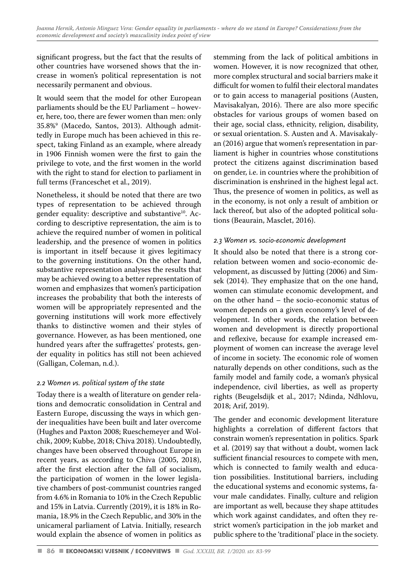significant progress, but the fact that the results of other countries have worsened shows that the increase in women's political representation is not necessarily permanent and obvious.

It would seem that the model for other European parliaments should be the EU Parliament – however, here, too, there are fewer women than men: only 35.8%9 (Macedo, Santos, 2013). Although admittedly in Europe much has been achieved in this respect, taking Finland as an example, where already in 1906 Finnish women were the first to gain the privilege to vote, and the first women in the world with the right to stand for election to parliament in full terms (Franceschet et al., 2019).

Nonetheless, it should be noted that there are two types of representation to be achieved through gender equality: descriptive and substantive<sup>10</sup>. According to descriptive representation, the aim is to achieve the required number of women in political leadership, and the presence of women in politics is important in itself because it gives legitimacy to the governing institutions. On the other hand, substantive representation analyses the results that may be achieved owing to a better representation of women and emphasizes that women's participation increases the probability that both the interests of women will be appropriately represented and the governing institutions will work more effectively thanks to distinctive women and their styles of governance. However, as has been mentioned, one hundred years after the suffragettes' protests, gender equality in politics has still not been achieved (Galligan, Coleman, n.d.).

## *2.2 Women vs. political system of the state*

Today there is a wealth of literature on gender relations and democratic consolidation in Central and Eastern Europe, discussing the ways in which gender inequalities have been built and later overcome (Hughes and Paxton 2008; Rueschemeyer and Wolchik, 2009; Kubbe, 2018; Chiva 2018). Undoubtedly, changes have been observed throughout Europe in recent years, as according to Chiva (2005, 2018), after the first election after the fall of socialism, the participation of women in the lower legislative chambers of post-communist countries ranged from 4.6% in Romania to 10% in the Czech Republic and 15% in Latvia. Currently (2019), it is 18% in Romania, 18.9% in the Czech Republic, and 30% in the unicameral parliament of Latvia. Initially, research would explain the absence of women in politics as stemming from the lack of political ambitions in women. However, it is now recognized that other, more complex structural and social barriers make it difficult for women to fulfil their electoral mandates or to gain access to managerial positions (Austen, Mavisakalyan, 2016). There are also more specific obstacles for various groups of women based on their age, social class, ethnicity, religion, disability, or sexual orientation. S. Austen and A. Mavisakalyan (2016) argue that women's representation in parliament is higher in countries whose constitutions protect the citizens against discrimination based on gender, i.e. in countries where the prohibition of discrimination is enshrined in the highest legal act. Thus, the presence of women in politics, as well as in the economy, is not only a result of ambition or lack thereof, but also of the adopted political solutions (Beaurain, Masclet, 2016).

#### *2.3 Women vs. socio-economic development*

It should also be noted that there is a strong correlation between women and socio-economic development, as discussed by Jütting (2006) and Simsek (2014). They emphasize that on the one hand, women can stimulate economic development, and on the other hand – the socio-economic status of women depends on a given economy's level of development. In other words, the relation between women and development is directly proportional and reflexive, because for example increased employment of women can increase the average level of income in society. The economic role of women naturally depends on other conditions, such as the family model and family code, a woman's physical independence, civil liberties, as well as property rights (Beugelsdijk et al., 2017; Ndinda, Ndhlovu, 2018; Arif, 2019).

The gender and economic development literature highlights a correlation of different factors that constrain women's representation in politics. Spark et al. (2019) say that without a doubt, women lack sufficient financial resources to compete with men, which is connected to family wealth and education possibilities. Institutional barriers, including the educational systems and economic systems, favour male candidates. Finally, culture and religion are important as well, because they shape attitudes which work against candidates, and often they restrict women's participation in the job market and public sphere to the 'traditional' place in the society.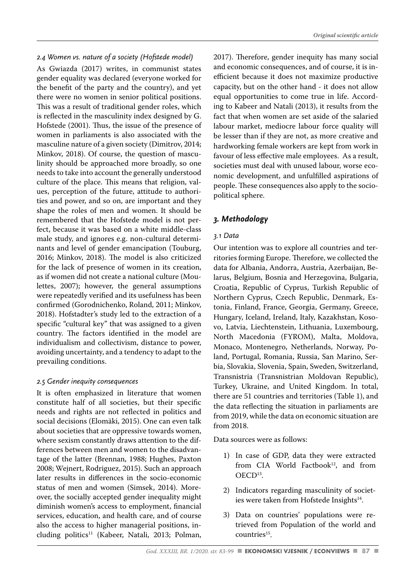As Gwiazda (2017) writes, in communist states gender equality was declared (everyone worked for the benefit of the party and the country), and yet there were no women in senior political positions. This was a result of traditional gender roles, which is reflected in the masculinity index designed by G. Hofstede (2001). Thus, the issue of the presence of women in parliaments is also associated with the masculine nature of a given society (Dimitrov, 2014; Minkov, 2018). Of course, the question of masculinity should be approached more broadly, so one needs to take into account the generally understood culture of the place. This means that religion, values, perception of the future, attitude to authorities and power, and so on, are important and they shape the roles of men and women. It should be remembered that the Hofstede model is not perfect, because it was based on a white middle-class male study, and ignores e.g. non-cultural determinants and level of gender emancipation (Touburg, 2016; Minkov, 2018). The model is also criticized for the lack of presence of women in its creation, as if women did not create a national culture (Moulettes, 2007); however, the general assumptions were repeatedly verified and its usefulness has been confirmed (Gorodnichenko, Roland, 2011; Minkov, 2018). Hofstadter's study led to the extraction of a specific "cultural key" that was assigned to a given country. The factors identified in the model are individualism and collectivism, distance to power, avoiding uncertainty, and a tendency to adapt to the prevailing conditions.

#### *2.5 Gender inequity consequences*

It is often emphasized in literature that women constitute half of all societies, but their specific needs and rights are not reflected in politics and social decisions (Elomäki, 2015). One can even talk about societies that are oppressive towards women, where sexism constantly draws attention to the differences between men and women to the disadvantage of the latter (Brennan, 1988; Hughes, Paxton 2008; Wejnert, Rodriguez, 2015). Such an approach later results in differences in the socio-economic status of men and women (Simsek, 2014). Moreover, the socially accepted gender inequality might diminish women's access to employment, financial services, education, and health care, and of course also the access to higher managerial positions, including politics<sup>11</sup> (Kabeer, Natali, 2013; Polman,

2017). Therefore, gender inequity has many social and economic consequences, and of course, it is inefficient because it does not maximize productive capacity, but on the other hand - it does not allow equal opportunities to come true in life. According to Kabeer and Natali (2013), it results from the fact that when women are set aside of the salaried labour market, mediocre labour force quality will be lesser than if they are not, as more creative and hardworking female workers are kept from work in favour of less effective male employees. As a result, societies must deal with unused labour, worse economic development, and unfulfilled aspirations of people. These consequences also apply to the sociopolitical sphere.

#### *3. Methodology*

#### *3.1 Data*

Our intention was to explore all countries and territories forming Europe. Therefore, we collected the data for Albania, Andorra, Austria, Azerbaijan, Belarus, Belgium, Bosnia and Herzegovina, Bulgaria, Croatia, Republic of Cyprus, Turkish Republic of Northern Cyprus, Czech Republic, Denmark, Estonia, Finland, France, Georgia, Germany, Greece, Hungary, Iceland, Ireland, Italy, Kazakhstan, Kosovo, Latvia, Liechtenstein, Lithuania, Luxembourg, North Macedonia (FYROM), Malta, Moldova, Monaco, Montenegro, Netherlands, Norway, Poland, Portugal, Romania, Russia, San Marino, Serbia, Slovakia, Slovenia, Spain, Sweden, Switzerland, Transnistria (Transnistrian Moldovan Republic), Turkey, Ukraine, and United Kingdom. In total, there are 51 countries and territories (Table 1), and the data reflecting the situation in parliaments are from 2019, while the data on economic situation are from 2018.

Data sources were as follows:

- 1) In case of GDP, data they were extracted from CIA World Factbook<sup>12</sup>, and from OECD13.
- 2) Indicators regarding masculinity of societies were taken from Hofstede Insights<sup>14</sup>.
- 3) Data on countries' populations were retrieved from Population of the world and countries<sup>15</sup>.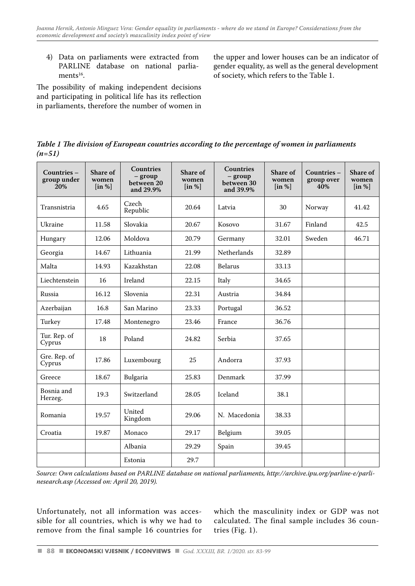4) Data on parliaments were extracted from PARLINE database on national parlia $ments<sup>16</sup>$ .

The possibility of making independent decisions and participating in political life has its reflection in parliaments, therefore the number of women in the upper and lower houses can be an indicator of gender equality, as well as the general development of society, which refers to the Table 1.

*Table 1 The division of European countries according to the percentage of women in parliaments (n=51)*

| Countries -<br>group under<br>20% | Share of<br>women<br>$\left[\text{in } \% \right]$ | <b>Countries</b><br>$-$ group<br>between 20<br>and 29.9% | Share of<br>women<br>$\left[\text{in } \% \right]$ | <b>Countries</b><br>$-$ group<br>between 30<br>and 39.9% | Share of<br>women<br>$\left[ \text{in } \% \right]$ | Countries -<br>group over<br>40% | Share of<br>women<br>$\left[ \text{in } \% \right]$ |
|-----------------------------------|----------------------------------------------------|----------------------------------------------------------|----------------------------------------------------|----------------------------------------------------------|-----------------------------------------------------|----------------------------------|-----------------------------------------------------|
| Transnistria                      | 4.65                                               | Czech<br>Republic                                        | 20.64                                              | Latvia                                                   | 30                                                  | Norway                           | 41.42                                               |
| Ukraine                           | 11.58                                              | Slovakia                                                 | 20.67                                              | Kosovo                                                   | 31.67                                               | Finland                          | 42.5                                                |
| Hungary                           | 12.06                                              | Moldova                                                  | 20.79                                              | Germany                                                  | 32.01                                               | Sweden                           | 46.71                                               |
| Georgia                           | 14.67                                              | Lithuania                                                | 21.99                                              | Netherlands                                              | 32.89                                               |                                  |                                                     |
| Malta                             | 14.93                                              | Kazakhstan                                               | 22.08                                              | <b>Belarus</b>                                           | 33.13                                               |                                  |                                                     |
| Liechtenstein                     | 16                                                 | Ireland                                                  | 22.15                                              | Italy                                                    | 34.65                                               |                                  |                                                     |
| Russia                            | 16.12                                              | Slovenia                                                 | 22.31                                              | Austria                                                  | 34.84                                               |                                  |                                                     |
| Azerbaijan                        | 16.8                                               | San Marino                                               | 23.33                                              | Portugal                                                 | 36.52                                               |                                  |                                                     |
| Turkey                            | 17.48                                              | Montenegro                                               | 23.46                                              | France                                                   | 36.76                                               |                                  |                                                     |
| Tur. Rep. of<br>Cyprus            | 18                                                 | Poland                                                   | 24.82                                              | Serbia                                                   | 37.65                                               |                                  |                                                     |
| Gre. Rep. of<br>Cyprus            | 17.86                                              | Luxembourg                                               | 25                                                 | Andorra                                                  | 37.93                                               |                                  |                                                     |
| Greece                            | 18.67                                              | Bulgaria                                                 | 25.83                                              | Denmark                                                  | 37.99                                               |                                  |                                                     |
| Bosnia and<br>Herzeg.             | 19.3                                               | Switzerland                                              | 28.05                                              | Iceland                                                  | 38.1                                                |                                  |                                                     |
| Romania                           | 19.57                                              | United<br>Kingdom                                        | 29.06                                              | N. Macedonia                                             | 38.33                                               |                                  |                                                     |
| Croatia                           | 19.87                                              | Monaco                                                   | 29.17                                              | Belgium                                                  | 39.05                                               |                                  |                                                     |
|                                   |                                                    | Albania                                                  | 29.29                                              | Spain                                                    | 39.45                                               |                                  |                                                     |
|                                   |                                                    | Estonia                                                  | 29.7                                               |                                                          |                                                     |                                  |                                                     |
|                                   |                                                    |                                                          |                                                    |                                                          |                                                     |                                  |                                                     |

*Source: Own calculations based on PARLINE database on national parliaments, http://archive.ipu.org/parline-e/parlinesearch.asp (Accessed on: April 20, 2019).*

Unfortunately, not all information was accessible for all countries, which is why we had to remove from the final sample 16 countries for which the masculinity index or GDP was not calculated. The final sample includes 36 countries (Fig. 1).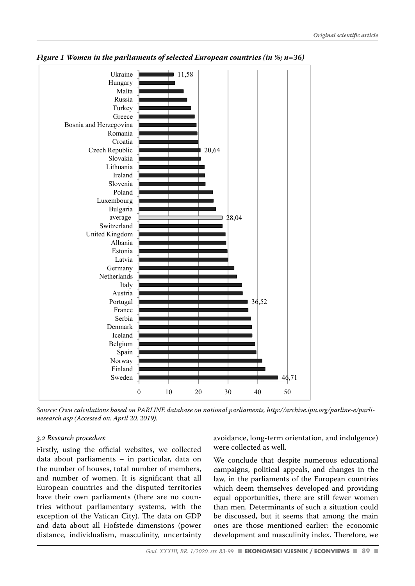

*Figure 1 Women in the parliaments of selected European countries (in %; n=36)*

Source: Own calculations based on PARLINE database on national parliaments, *Source: Own calculations based on PARLINE database on national parliaments, http://archive.ipu.org/parline-e/parli*http://archive.ipu.org/parline-e/parlinesearch.asp (Accessed on: April 20, 2019). *nesearch.asp (Accessed on: April 20, 2019).*

#### *3.2 Research procedure*

Firstly, using the official websites, we collected data about parliaments – in particular, data on the number of houses, total number of members, and number of women. It is significant that all law, in the parliaments of the European European countries and the disputed territories which deem themselves developed and have the countries of the disputed territories which deem themselves developed and have their own parliaments (there are no countries without parliamentary systems, with the than men. Determinants of such a situa exception of the Vatican City). The data on GDP be discussed, but it seems that among and data about all Hofstede dimensions (power distance, individualism, masculinity, uncertainty development and masculinity i data about parliaments – in particular, data on We conclude that despite numerous educational

avoidance, long-term orientation, and indulgence) were collected as well.

campaigns, political appeals, and changes in the law, in the parliaments of the European countries which deem themselves developed and providing equal opportunities, there are still fewer women than men. Determinants of such a situation could be discussed, but it seems that among the main ones are those mentioned earlier: the economic development and masculinity index. Therefore, we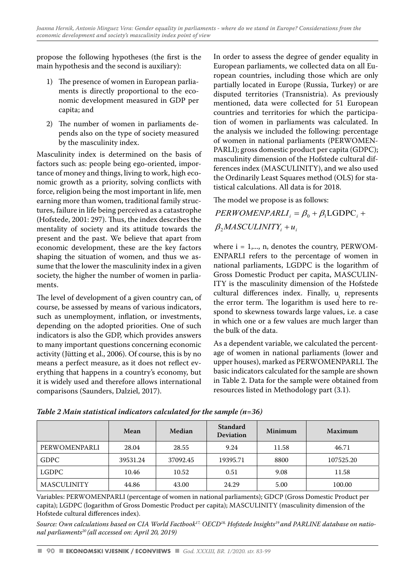propose the following hypotheses (the first is the main hypothesis and the second is auxiliary):

- 1) The presence of women in European parliaments is directly proportional to the economic development measured in GDP per capita; and
- 2) The number of women in parliaments depends also on the type of society measured by the masculinity index.

Masculinity index is determined on the basis of factors such as: people being ego-oriented, importance of money and things, living to work, high economic growth as a priority, solving conflicts with force, religion being the most important in life, men earning more than women, traditional family structures, failure in life being perceived as a catastrophe (Hofstede, 2001: 297). Thus, the index describes the mentality of society and its attitude towards the  $\beta_2$ *MASCULINITY<sub>i</sub>* +  $u_i$ present and the past. We believe that apart from economic development, these are the key factors shaping the situation of women, and thus we assume that the lower the masculinity index in a given society, the higher the number of women in parliaments.

The level of development of a given country can, of course, be assessed by means of various indicators, such as unemployment, inflation, or investments, depending on the adopted priorities. One of such indicators is also the GDP, which provides answers to many important questions concerning economic activity (Jütting et al., 2006). Of course, this is by no means a perfect measure, as it does not reflect everything that happens in a country's economy, but it is widely used and therefore allows international comparisons (Saunders, Dalziel, 2017).

In order to assess the degree of gender equality in European parliaments, we collected data on all European countries, including those which are only partially located in Europe (Russia, Turkey) or are disputed territories (Transnistria). As previously mentioned, data were collected for 51 European countries and territories for which the participation of women in parliaments was calculated. In the analysis we included the following: percentage of women in national parliaments (PERWOMEN-PARLI); gross domestic product per capita (GDPC); masculinity dimension of the Hofstede cultural differences index (MASCULINITY), and we also used the Ordinarily Least Squares method (OLS) for statistical calculations. All data is for 2018.

The model we propose is as follows:

 $PERWOMENPARLI_i = \beta_0 + \beta_1 LGDPC_i +$ 

where  $i = 1, \ldots, n$ , denotes the country, PERWOM-ENPARLI refers to the percentage of women in national parliaments, LGDPC is the logarithm of Gross Domestic Product per capita, MASCULIN-ITY is the masculinity dimension of the Hofstede cultural differences index. Finally, u<sub>i</sub> represents the error term. The logarithm is used here to respond to skewness towards large values, i.e. a case in which one or a few values are much larger than the bulk of the data.

As a dependent variable, we calculated the percentage of women in national parliaments (lower and upper houses), marked as PERWOMENPARLI. The basic indicators calculated for the sample are shown in Table 2. Data for the sample were obtained from resources listed in Methodology part (3.1).

|                    | Mean     | Median   | Standard<br><b>Deviation</b> | Minimum | Maximum   |
|--------------------|----------|----------|------------------------------|---------|-----------|
| PERWOMENPARLI      | 28.04    | 28.55    | 9.24                         | 11.58   | 46.71     |
| <b>GDPC</b>        | 39531.24 | 37092.45 | 19395.71                     | 8800    | 107525.20 |
| LGDPC              | 10.46    | 10.52    | 0.51                         | 9.08    | 11.58     |
| <b>MASCULINITY</b> | 44.86    | 43.00    | 24.29                        | 5.00    | 100.00    |

*Table 2 Main statistical indicators calculated for the sample (n=36)*

Variables: PERWOMENPARLI (percentage of women in national parliaments); GDCP (Gross Domestic Product per capita); LGDPC (logarithm of Gross Domestic Product per capita); MASCULINITY (masculinity dimension of the Hofstede cultural differences index).

Source: Own calculations based on CIA World Factbook<sup>17,</sup> OECD<sup>18,</sup> Hofstede Insights<sup>19</sup> and PARLINE database on natio*nal parliaments20 (all accessed on: April 20, 2019)*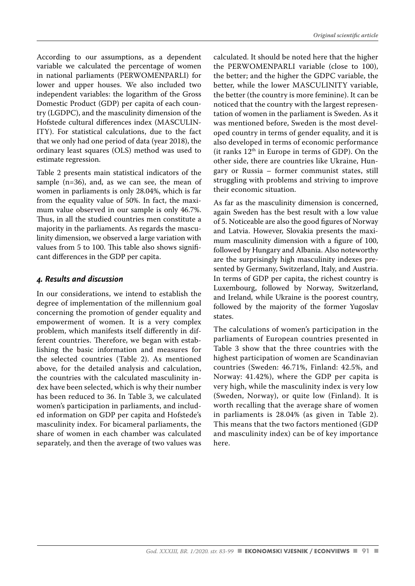According to our assumptions, as a dependent variable we calculated the percentage of women in national parliaments (PERWOMENPARLI) for lower and upper houses. We also included two independent variables: the logarithm of the Gross Domestic Product (GDP) per capita of each country (LGDPC), and the masculinity dimension of the Hofstede cultural differences index (MASCULIN-ITY). For statistical calculations, due to the fact that we only had one period of data (year 2018), the ordinary least squares (OLS) method was used to estimate regression.

Table 2 presents main statistical indicators of the sample (n=36), and, as we can see, the mean of women in parliaments is only 28.04%, which is far from the equality value of 50%. In fact, the maximum value observed in our sample is only 46.7%. Thus, in all the studied countries men constitute a majority in the parliaments. As regards the masculinity dimension, we observed a large variation with values from 5 to 100. This table also shows significant differences in the GDP per capita.

#### *4. Results and discussion*

In our considerations, we intend to establish the degree of implementation of the millennium goal concerning the promotion of gender equality and empowerment of women. It is a very complex problem, which manifests itself differently in different countries. Therefore, we began with establishing the basic information and measures for the selected countries (Table 2). As mentioned above, for the detailed analysis and calculation, the countries with the calculated masculinity index have been selected, which is why their number has been reduced to 36. In Table 3, we calculated women's participation in parliaments, and included information on GDP per capita and Hofstede's masculinity index. For bicameral parliaments, the share of women in each chamber was calculated separately, and then the average of two values was calculated. It should be noted here that the higher the PERWOMENPARLI variable (close to 100), the better; and the higher the GDPC variable, the better, while the lower MASCULINITY variable, the better (the country is more feminine). It can be noticed that the country with the largest representation of women in the parliament is Sweden. As it was mentioned before, Sweden is the most developed country in terms of gender equality, and it is also developed in terms of economic performance (it ranks  $12<sup>th</sup>$  in Europe in terms of GDP). On the other side, there are countries like Ukraine, Hungary or Russia – former communist states, still struggling with problems and striving to improve their economic situation.

As far as the masculinity dimension is concerned, again Sweden has the best result with a low value of 5. Noticeable are also the good figures of Norway and Latvia. However, Slovakia presents the maximum masculinity dimension with a figure of 100, followed by Hungary and Albania. Also noteworthy are the surprisingly high masculinity indexes presented by Germany, Switzerland, Italy, and Austria. In terms of GDP per capita, the richest country is Luxembourg, followed by Norway, Switzerland, and Ireland, while Ukraine is the poorest country, followed by the majority of the former Yugoslav states.

The calculations of women's participation in the parliaments of European countries presented in Table 3 show that the three countries with the highest participation of women are Scandinavian countries (Sweden: 46.71%, Finland: 42.5%, and Norway: 41.42%), where the GDP per capita is very high, while the masculinity index is very low (Sweden, Norway), or quite low (Finland). It is worth recalling that the average share of women in parliaments is 28.04% (as given in Table 2). This means that the two factors mentioned (GDP and masculinity index) can be of key importance here.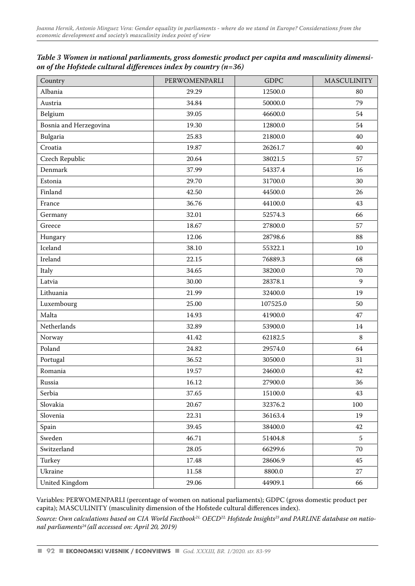| Table 3 Women in national parliaments, gross domestic product per capita and masculinity dimensi- |  |
|---------------------------------------------------------------------------------------------------|--|
| on of the Hofstede cultural differences index by country $(n=36)$                                 |  |

| Country                | PERWOMENPARLI | <b>GDPC</b> | <b>MASCULINITY</b> |
|------------------------|---------------|-------------|--------------------|
| Albania                | 29.29         | 12500.0     | 80                 |
| Austria                | 34.84         | 50000.0     | 79                 |
| Belgium                | 39.05         | 46600.0     | 54                 |
| Bosnia and Herzegovina | 19.30         | 12800.0     | 54                 |
| Bulgaria               | 25.83         | 21800.0     | 40                 |
| Croatia                | 19.87         | 26261.7     | 40                 |
| Czech Republic         | 20.64         | 38021.5     | 57                 |
| Denmark                | 37.99         | 54337.4     | 16                 |
| Estonia                | 29.70         | 31700.0     | 30                 |
| Finland                | 42.50         | 44500.0     | 26                 |
| France                 | 36.76         | 44100.0     | 43                 |
| Germany                | 32.01         | 52574.3     | 66                 |
| Greece                 | 18.67         | 27800.0     | 57                 |
| Hungary                | 12.06         | 28798.6     | 88                 |
| Iceland                | 38.10         | 55322.1     | 10                 |
| Ireland                | 22.15         | 76889.3     | 68                 |
| Italy                  | 34.65         | 38200.0     | 70                 |
| Latvia                 | 30.00         | 28378.1     | 9                  |
| Lithuania              | 21.99         | 32400.0     | 19                 |
| Luxembourg             | 25.00         | 107525.0    | 50                 |
| Malta                  | 14.93         | 41900.0     | 47                 |
| Netherlands            | 32.89         | 53900.0     | 14                 |
| Norway                 | 41.42         | 62182.5     | 8                  |
| Poland                 | 24.82         | 29574.0     | 64                 |
| Portugal               | 36.52         | 30500.0     | 31                 |
| Romania                | 19.57         | 24600.0     | 42                 |
| Russia                 | 16.12         | 27900.0     | 36                 |
| Serbia                 | 37.65         | 15100.0     | 43                 |
| Slovakia               | 20.67         | 32376.2     | 100                |
| Slovenia               | 22.31         | 36163.4     | 19                 |
| Spain                  | 39.45         | 38400.0     | 42                 |
| Sweden                 | 46.71         | 51404.8     | 5                  |
| Switzerland            | 28.05         | 66299.6     | 70                 |
| Turkey                 | 17.48         | 28606.9     | 45                 |
| Ukraine                | 11.58         | 8800.0      | 27                 |
| United Kingdom         | 29.06         | 44909.1     | 66                 |

Variables: PERWOMENPARLI (percentage of women on national parliaments); GDPC (gross domestic product per capita); MASCULINITY (masculinity dimension of the Hofstede cultural differences index).

Source: Own calculations based on CIA World Factbook<sup>21,</sup> OECD<sup>22</sup>, Hofstede Insights<sup>23</sup> and PARLINE database on natio*nal parliaments24 (all accessed on: April 20, 2019)*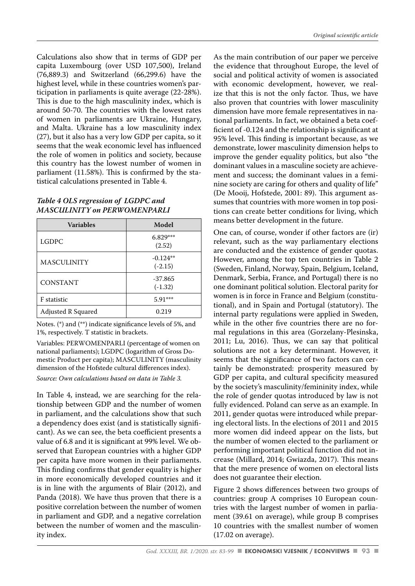Calculations also show that in terms of GDP per capita Luxembourg (over USD 107,500), Ireland (76,889.3) and Switzerland (66,299.6) have the highest level, while in these countries women's participation in parliaments is quite average (22-28%). This is due to the high masculinity index, which is around 50-70. The countries with the lowest rates of women in parliaments are Ukraine, Hungary, and Malta. Ukraine has a low masculinity index (27), but it also has a very low GDP per capita, so it seems that the weak economic level has influenced the role of women in politics and society, because this country has the lowest number of women in parliament (11.58%). This is confirmed by the statistical calculations presented in Table 4.

#### *Table 4 OLS regression of LGDPC and MASCULINITY on PERWOMENPARLI*

| <b>Variables</b>   | Model                   |
|--------------------|-------------------------|
| LGDPC              | $6.829***$<br>(2.52)    |
| MASCULINITY        | $-0.124**$<br>$(-2.15)$ |
| <b>CONSTANT</b>    | $-37.865$<br>$(-1.32)$  |
| F statistic        | $5.91***$               |
| Adjusted R Squared | 0.219                   |

Notes. (\*) and (\*\*) indicate significance levels of 5%, and 1%, respectively. T statistic in brackets.

Variables: PERWOMENPARLI (percentage of women on national parliaments); LGDPC (logarithm of Gross Domestic Product per capita); MASCULINITY (masculinity dimension of the Hofstede cultural differences index).

*Source: Own calculations based on data in Table 3.*

In Table 4, instead, we are searching for the relationship between GDP and the number of women in parliament, and the calculations show that such a dependency does exist (and is statistically significant). As we can see, the beta coefficient presents a value of 6.8 and it is significant at 99% level. We observed that European countries with a higher GDP per capita have more women in their parliaments. This finding confirms that gender equality is higher in more economically developed countries and it is in line with the arguments of Blair (2012), and Panda (2018). We have thus proven that there is a positive correlation between the number of women in parliament and GDP, and a negative correlation between the number of women and the masculinity index.

As the main contribution of our paper we perceive the evidence that throughout Europe, the level of social and political activity of women is associated with economic development, however, we realize that this is not the only factor. Thus, we have also proven that countries with lower masculinity dimension have more female representatives in national parliaments. In fact, we obtained a beta coefficient of -0.124 and the relationship is significant at 95% level. This finding is important because, as we demonstrate, lower masculinity dimension helps to improve the gender equality politics, but also "the dominant values in a masculine society are achievement and success; the dominant values in a feminine society are caring for others and quality of life" (De Mooij, Hofstede, 2001: 89). This argument assumes that countries with more women in top positions can create better conditions for living, which means better development in the future.

One can, of course, wonder if other factors are (ir) relevant, such as the way parliamentary elections are conducted and the existence of gender quotas. However, among the top ten countries in Table 2 (Sweden, Finland, Norway, Spain, Belgium, Iceland, Denmark, Serbia, France, and Portugal) there is no one dominant political solution. Electoral parity for women is in force in France and Belgium (constitutional), and in Spain and Portugal (statutory). The internal party regulations were applied in Sweden, while in the other five countries there are no formal regulations in this area (Gorzelany-Plesinska, 2011; Lu, 2016). Thus, we can say that political solutions are not a key determinant. However, it seems that the significance of two factors can certainly be demonstrated: prosperity measured by GDP per capita, and cultural specificity measured by the society's masculinity/femininity index, while the role of gender quotas introduced by law is not fully evidenced. Poland can serve as an example. In 2011, gender quotas were introduced while preparing electoral lists. In the elections of 2011 and 2015 more women did indeed appear on the lists, but the number of women elected to the parliament or performing important political function did not increase (Millard, 2014; Gwiazda, 2017). This means that the mere presence of women on electoral lists does not guarantee their election.

Figure 2 shows differences between two groups of countries: group A comprises 10 European countries with the largest number of women in parliament (39.61 on average), while group B comprises 10 countries with the smallest number of women (17.02 on average).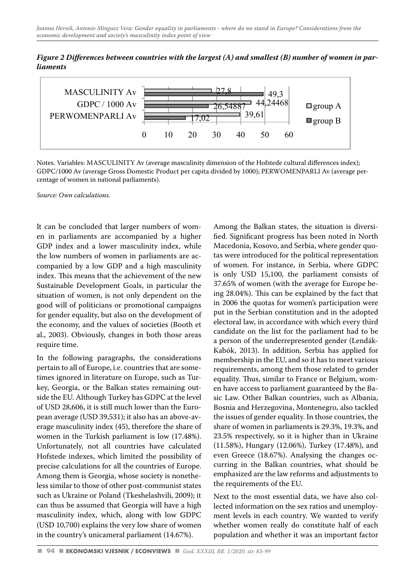*Figure 2 Differences between countries with the largest (A) and smallest (B) number of women in par*liaments



Notes. Variables: MASCULINITY Av (average masculinity dimension of the Hofstede cultural differences Notes. Variables: MASCULINITY Av (average masculinity dimension of the Hofstede cultural differences index); index); GDPC/1000 Av (average Gross Domestic Product per capita divided by 1000); PERWOMENPARLI Av GDPC/1000 Av (average Gross Domestic Product per capita divided by 1000); PERWOMENPARLI Av (average percentage of women in national parliaments).

*Source: Own calculations.*

It can be concluded that larger numbers of women in parliaments are accompanied by a higher GDP index and a lower masculinity index, while the low numbers of women in parliaments are accompanied by a low GDP and a high masculinity index. This means that the achievement of the new Sustainable Development Goals, in particular the situation of women, is not only dependent on the good will of politicians or promotional campaigns for gender equality, but also on the development of the economy, and the values of societies (Booth et al., 2003). Obviously, changes in both those areas require time.

In the following paragraphs, the considerations pertain to all of Europe, i.e. countries that are sometimes ignored in literature on Europe, such as Turkey, Georgia, or the Balkan states remaining outside the EU. Although Turkey has GDPC at the level of USD 28,606, it is still much lower than the European average (USD 39,531); it also has an above-average masculinity index (45), therefore the share of women in the Turkish parliament is low (17.48%). Unfortunately, not all countries have calculated Hofstede indexes, which limited the possibility of precise calculations for all the countries of Europe. Among them is Georgia, whose society is nonetheless similar to those of other post-communist states such as Ukraine or Poland (Tkeshelashvili, 2009); it can thus be assumed that Georgia will have a high masculinity index, which, along with low GDPC (USD 10,700) explains the very low share of women in the country's unicameral parliament (14.67%).

Among the Balkan states, the situation is diversified. Significant progress has been noted in North Macedonia, Kosovo, and Serbia, where gender quotas were introduced for the political representation of women. For instance, in Serbia, where GDPC is only USD 15,100, the parliament consists of 37.65% of women (with the average for Europe being 28.04%). This can be explained by the fact that in 2006 the quotas for women's participation were put in the Serbian constitution and in the adopted electoral law, in accordance with which every third candidate on the list for the parliament had to be a person of the underrepresented gender (Lendák-Kabók, 2013). In addition, Serbia has applied for membership in the EU, and so it has to meet various requirements, among them those related to gender equality. Thus, similar to France or Belgium, women have access to parliament guaranteed by the Basic Law. Other Balkan countries, such as Albania, Bosnia and Herzegovina, Montenegro, also tackled the issues of gender equality. In those countries, the share of women in parliaments is 29.3%, 19.3%, and 23.5% respectively, so it is higher than in Ukraine (11.58%), Hungary (12.06%), Turkey (17.48%), and even Greece (18.67%). Analysing the changes occurring in the Balkan countries, what should be emphasized are the law reforms and adjustments to the requirements of the EU.

Next to the most essential data, we have also collected information on the sex ratios and unemployment levels in each country. We wanted to verify whether women really do constitute half of each population and whether it was an important factor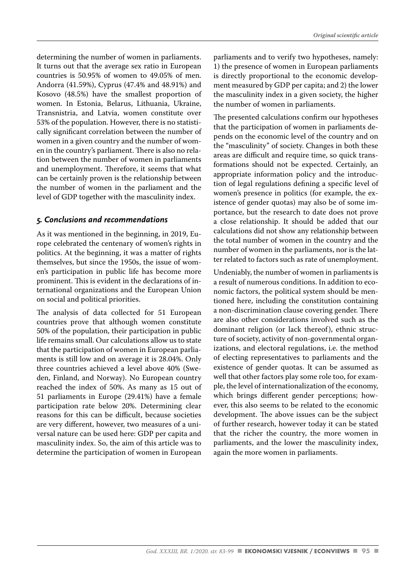determining the number of women in parliaments. It turns out that the average sex ratio in European countries is 50.95% of women to 49.05% of men. Andorra (41.59%), Cyprus (47.4% and 48.91%) and Kosovo (48.5%) have the smallest proportion of women. In Estonia, Belarus, Lithuania, Ukraine, Transnistria, and Latvia, women constitute over 53% of the population. However, there is no statistically significant correlation between the number of women in a given country and the number of women in the country's parliament. There is also no relation between the number of women in parliaments and unemployment. Therefore, it seems that what can be certainly proven is the relationship between the number of women in the parliament and the level of GDP together with the masculinity index.

## *5. Conclusions and recommendations*

As it was mentioned in the beginning, in 2019, Europe celebrated the centenary of women's rights in politics. At the beginning, it was a matter of rights themselves, but since the 1950s, the issue of women's participation in public life has become more prominent. This is evident in the declarations of international organizations and the European Union on social and political priorities.

The analysis of data collected for 51 European countries prove that although women constitute 50% of the population, their participation in public life remains small. Our calculations allow us to state that the participation of women in European parliaments is still low and on average it is 28.04%. Only three countries achieved a level above 40% (Sweden, Finland, and Norway). No European country reached the index of 50%. As many as 15 out of 51 parliaments in Europe (29.41%) have a female participation rate below 20%. Determining clear reasons for this can be difficult, because societies are very different, however, two measures of a universal nature can be used here: GDP per capita and masculinity index. So, the aim of this article was to determine the participation of women in European parliaments and to verify two hypotheses, namely: 1) the presence of women in European parliaments is directly proportional to the economic development measured by GDP per capita; and 2) the lower the masculinity index in a given society, the higher the number of women in parliaments.

The presented calculations confirm our hypotheses that the participation of women in parliaments depends on the economic level of the country and on the "masculinity" of society. Changes in both these areas are difficult and require time, so quick transformations should not be expected. Certainly, an appropriate information policy and the introduction of legal regulations defining a specific level of women's presence in politics (for example, the existence of gender quotas) may also be of some importance, but the research to date does not prove a close relationship. It should be added that our calculations did not show any relationship between the total number of women in the country and the number of women in the parliaments, nor is the latter related to factors such as rate of unemployment.

Undeniably, the number of women in parliaments is a result of numerous conditions. In addition to economic factors, the political system should be mentioned here, including the constitution containing a non-discrimination clause covering gender. There are also other considerations involved such as the dominant religion (or lack thereof), ethnic structure of society, activity of non-governmental organizations, and electoral regulations, i.e. the method of electing representatives to parliaments and the existence of gender quotas. It can be assumed as well that other factors play some role too, for example, the level of internationalization of the economy, which brings different gender perceptions; however, this also seems to be related to the economic development. The above issues can be the subject of further research, however today it can be stated that the richer the country, the more women in parliaments, and the lower the masculinity index, again the more women in parliaments.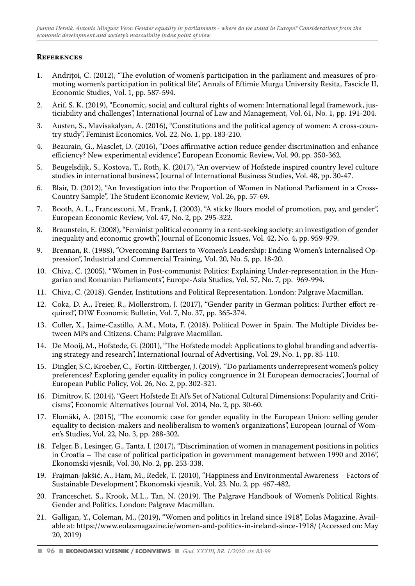#### **References**

- 1. Andritoi, C. (2012), "The evolution of women's participation in the parliament and measures of promoting women's participation in political life", Annals of Eftimie Murgu University Resita, Fascicle II, Economic Studies, Vol. 1, pp. 587-594.
- 2. Arif, S. K. (2019), "Economic, social and cultural rights of women: International legal framework, justiciability and challenges", International Journal of Law and Management, Vol. 61, No. 1, pp. 191-204.
- 3. Austen, S., Mavisakalyan, A. (2016), "Constitutions and the political agency of women: A cross-country study", Feminist Economics, Vol. 22, No. 1, pp. 183-210.
- 4. Beaurain, G., Masclet, D. (2016), "Does affirmative action reduce gender discrimination and enhance efficiency? New experimental evidence", European Economic Review, Vol. 90, pp. 350-362.
- 5. Beugelsdijk, S., Kostova, T., Roth, K. (2017), "An overview of Hofstede inspired country level culture studies in international business", Journal of International Business Studies, Vol. 48, pp. 30-47.
- 6. Blair, D. (2012), "An Investigation into the Proportion of Women in National Parliament in a Cross-Country Sample", The Student Economic Review, Vol. 26, pp. 57-69.
- 7. Booth, A. L., Francesconi, M., Frank, J. (2003), "A sticky floors model of promotion, pay, and gender", European Economic Review, Vol. 47, No. 2, pp. 295-322.
- 8. Braunstein, E. (2008), "Feminist political economy in a rent-seeking society: an investigation of gender inequality and economic growth", Journal of Economic Issues, Vol. 42, No. 4, pp. 959-979.
- 9. Brennan, R. (1988), "Overcoming Barriers to Women's Leadership: Ending Women's Internalised Oppression", Industrial and Commercial Training, Vol. 20, No. 5, pp. 18-20.
- 10. Chiva, C. (2005), "Women in Post-communist Politics: Explaining Under-representation in the Hungarian and Romanian Parliaments", Europe-Asia Studies, Vol. 57, No. 7, pp. 969-994.
- 11. Chiva, C. (2018). Gender, Institutions and Political Representation. London: Palgrave Macmillan.
- 12. Coka, D. A., Freier, R., Mollerstrom, J. (2017), "Gender parity in German politics: Further effort required", DIW Economic Bulletin, Vol. 7, No. 37, pp. 365-374.
- 13. Coller, X., Jaime-Castillo, A.M., Mota, F. (2018). Political Power in Spain. The Multiple Divides between MPs and Citizens. Cham: Palgrave Macmillan.
- 14. De Mooij, M., Hofstede, G. (2001), "The Hofstede model: Applications to global branding and advertising strategy and research", International Journal of Advertising, Vol. 29, No. 1, pp. 85-110.
- 15. Dingler, S.C, Kroeber, C., Fortin-Rittberger, J. (2019), "Do parliaments underrepresent women's policy preferences? Exploring gender equality in policy congruence in 21 European democracies", Journal of European Public Policy, Vol. 26, No. 2, pp. 302-321.
- 16. Dimitrov, K. (2014), "Geert Hofstede Et Al's Set of National Cultural Dimensions: Popularity and Criticisms", Economic Alternatives Journal Vol. 2014, No. 2, pp. 30-60.
- 17. Elomäki, A. (2015), "The economic case for gender equality in the European Union: selling gender equality to decision-makers and neoliberalism to women's organizations", European Journal of Women's Studies, Vol. 22, No. 3, pp. 288-302.
- 18. Felger, B., Lesinger, G., Tanta, I. (2017), "Discrimination of women in management positions in politics in Croatia – The case of political participation in government management between 1990 and 2016", Ekonomski vjesnik, Vol. 30, No. 2, pp. 253-338.
- 19. Frajman-Jakšić, A., Ham, M., Redek, T. (2010), "Happiness and Environmental Awareness Factors of Sustainable Development", Ekonomski vjesnik, Vol. 23. No. 2, pp. 467-482.
- 20. Franceschet, S., Krook, M.L., Tan, N. (2019). The Palgrave Handbook of Women's Political Rights. Gender and Politics. London: Palgrave Macmillan.
- 21. Galligan, Y., Coleman, M., (2019), "Women and politics in Ireland since 1918", Eolas Magazine, Available at: https://www.eolasmagazine.ie/women-and-politics-in-ireland-since-1918/ (Accessed on: May 20, 2019)

**<sup>96</sup>** *God. XXXIII, BR. 1/2020. str. 83-99*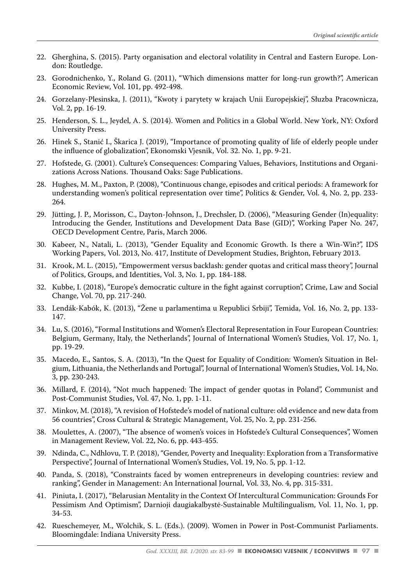- 22. Gherghina, S. (2015). Party organisation and electoral volatility in Central and Eastern Europe. London: Routledge.
- 23. Gorodnichenko, Y., Roland G. (2011), "Which dimensions matter for long-run growth?", American Economic Review, Vol. 101, pp. 492-498.
- 24. Gorzelany-Plesinska, J. (2011), "Kwoty i parytety w krajach Unii Europejskiej", Słuzba Pracownicza, Vol. 2, pp. 16-19.
- 25. Henderson, S. L., Jeydel, A. S. (2014). Women and Politics in a Global World. New York, NY: Oxford University Press.
- 26. Hinek S., Stanić I., Škarica J. (2019), "Importance of promoting quality of life of elderly people under the influence of globalization", Ekonomski Vjesnik, Vol. 32. No. 1, pp. 9-21.
- 27. Hofstede, G. (2001). Culture's Consequences: Comparing Values, Behaviors, Institutions and Organizations Across Nations. Thousand Oaks: Sage Publications.
- 28. Hughes, M. M., Paxton, P. (2008), "Continuous change, episodes and critical periods: A framework for understanding women's political representation over time", Politics & Gender, Vol. 4, No. 2, pp. 233- 264.
- 29. Jütting, J. P., Morisson, C., Dayton-Johnson, J., Drechsler, D. (2006), "Measuring Gender (In)equality: Introducing the Gender, Institutions and Development Data Base (GID)", Working Paper No. 247, OECD Development Centre, Paris, March 2006.
- 30. Kabeer, N., Natali, L. (2013), "Gender Equality and Economic Growth. Is there a Win-Win?", IDS Working Papers, Vol. 2013, No. 417, Institute of Development Studies, Brighton, February 2013.
- 31. Krook, M. L. (2015), "Empowerment versus backlash: gender quotas and critical mass theory", Journal of Politics, Groups, and Identities, Vol. 3, No. 1, pp. 184-188.
- 32. Kubbe, I. (2018), "Europe's democratic culture in the fight against corruption", Crime, Law and Social Change, Vol. 70, pp. 217-240.
- 33. Lendák-Kabók, K. (2013), "Žene u parlamentima u Republici Srbiji", Temida, Vol. 16, No. 2, pp. 133- 147.
- 34. Lu, S. (2016), "Formal Institutions and Women's Electoral Representation in Four European Countries: Belgium, Germany, Italy, the Netherlands", Journal of International Women's Studies, Vol. 17, No. 1, pp. 19-29.
- 35. Macedo, E., Santos, S. A. (2013), "In the Quest for Equality of Condition: Women's Situation in Belgium, Lithuania, the Netherlands and Portugal", Journal of International Women's Studies, Vol. 14, No. 3, pp. 230-243.
- 36. Millard, F. (2014), "Not much happened: The impact of gender quotas in Poland", Communist and Post-Communist Studies, Vol. 47, No. 1, pp. 1-11.
- 37. Minkov, M. (2018), "A revision of Hofstede's model of national culture: old evidence and new data from 56 countries", Cross Cultural & Strategic Management, Vol. 25, No. 2, pp. 231-256.
- 38. Moulettes, A. (2007), "The absence of women's voices in Hofstede's Cultural Consequences", Women in Management Review, Vol. 22, No. 6, pp. 443-455.
- 39. Ndinda, C., Ndhlovu, T. P. (2018), "Gender, Poverty and Inequality: Exploration from a Transformative Perspective", Journal of International Women's Studies, Vol. 19, No. 5, pp. 1-12.
- 40. Panda, S. (2018), "Constraints faced by women entrepreneurs in developing countries: review and ranking", Gender in Management: An International Journal, Vol. 33, No. 4, pp. 315-331.
- 41. Piniuta, I. (2017), "Belarusian Mentality in the Context Of Intercultural Communication: Grounds For Pessimism And Optimism", Darnioji daugiakalbystė-Sustainable Multilingualism, Vol. 11, No. 1, pp. 34-53.
- 42. Rueschemeyer, M., Wolchik, S. L. (Eds.). (2009). Women in Power in Post-Communist Parliaments. Bloomingdale: Indiana University Press.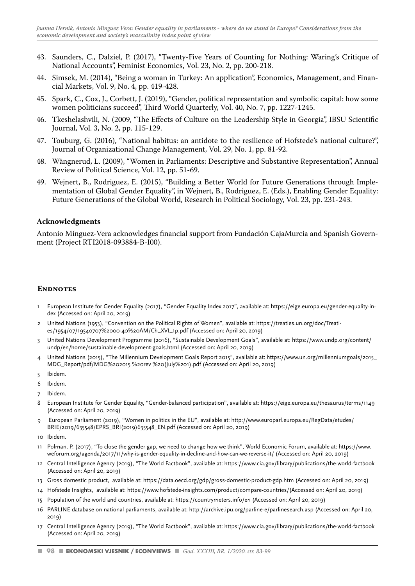- 43. Saunders, C., Dalziel, P. (2017), "Twenty-Five Years of Counting for Nothing: Waring's Critique of National Accounts", Feminist Economics, Vol. 23, No. 2, pp. 200-218.
- 44. Simsek, M. (2014), "Being a woman in Turkey: An application", Economics, Management, and Financial Markets, Vol. 9, No. 4, pp. 419-428.
- 45. Spark, C., Cox, J., Corbett, J. (2019), "Gender, political representation and symbolic capital: how some women politicians succeed", Third World Quarterly, Vol. 40, No. 7, pp. 1227-1245.
- 46. Tkeshelashvili, N. (2009, "The Effects of Culture on the Leadership Style in Georgia", IBSU Scientific Journal, Vol. 3, No. 2, pp. 115-129.
- 47. Touburg, G. (2016), "National habitus: an antidote to the resilience of Hofstede's national culture?", Journal of Organizational Change Management, Vol. 29, No. 1, pp. 81-92.
- 48. Wängnerud, L. (2009), "Women in Parliaments: Descriptive and Substantive Representation", Annual Review of Political Science, Vol. 12, pp. 51-69.
- 49. Wejnert, B., Rodriguez, E. (2015), "Building a Better World for Future Generations through Implementation of Global Gender Equality", in Wejnert, B., Rodriguez, E. (Eds.), Enabling Gender Equality: Future Generations of the Global World, Research in Political Sociology, Vol. 23, pp. 231-243.

#### **Acknowledgments**

Antonio Mínguez-Vera acknowledges financial support from Fundación CajaMurcia and Spanish Government (Project RTI2018-093884-B-I00).

#### **ENDNOTES**

- 1 European Institute for Gender Equality (2017), "Gender Equality Index 2017", available at: https://eige.europa.eu/gender-equality-index (Accessed on: April 20, 2019)
- 2 United Nations (1953), "Convention on the Political Rights of Women", available at: https://treaties.un.org/doc/Treaties/1954/07/19540707%2000-40%20AM/Ch\_XVI\_1p.pdf (Accessed on: April 20, 2019)
- 3 United Nations Development Programme (2016), "Sustainable Development Goals", available at: https://www.undp.org/content/ undp/en/home/sustainable-development-goals.html (Accessed on: April 20, 2019)
- 4 United Nations (2015), "The Millennium Development Goals Report 2015", available at: https://www.un.org/millenniumgoals/2015\_ MDG\_Report/pdf/MDG%202015 %20rev %20(July%201).pdf (Accessed on: April 20, 2019)
- 5 Ibidem.
- 6 Ibidem.
- 7 Ibidem.
- 8 European Institute for Gender Equality, "Gender-balanced participation", available at: https://eige.europa.eu/thesaurus/terms/1149 (Accessed on: April 20, 2019)
- 9 European Parliament (2019), "Women in politics in the EU", available at: http://www.europarl.europa.eu/RegData/etudes/ BRIE/2019/635548/EPRS\_BRI(2019)635548\_EN.pdf (Accessed on: April 20, 2019)
- 10 Ibidem.
- 11 Polman, P. (2017), "To close the gender gap, we need to change how we think", World Economic Forum, available at: https://www. weforum.org/agenda/2017/11/why-is-gender-equality-in-decline-and-how-can-we-reverse-it/ (Accessed on: April 20, 2019)
- 12 Central Intelligence Agency (2019), "The World Factbook", available at: https://www.cia.gov/library/publications/the-world-factbook (Accessed on: April 20, 2019)
- 13 Gross domestic product, available at: https://data.oecd.org/gdp/gross-domestic-product-gdp.htm (Accessed on: April 20, 2019)
- 14 Hofstede Insights, available at: https://www.hofstede-insights.com/product/compare-countries/(Accessed on: April 20, 2019)
- 15 Population of the world and countries, available at: https://countrymeters.info/en (Accessed on: April 20, 2019)
- 16 PARLINE database on national parliaments, available at: http://archive.ipu.org/parline-e/parlinesearch.asp (Accessed on: April 20, 2019)
- 17 Central Intelligence Agency (2019), "The World Factbook", available at: https://www.cia.gov/library/publications/the-world-factbook (Accessed on: April 20, 2019)